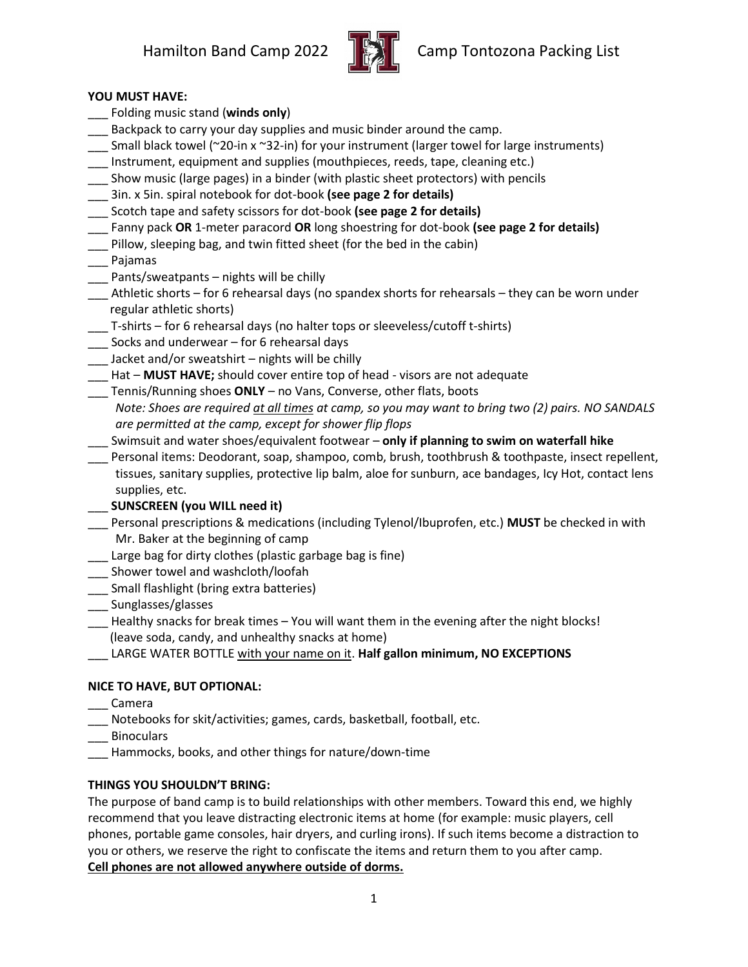

## **YOU MUST HAVE:**

- \_\_\_ Folding music stand (**winds only**)
- Backpack to carry your day supplies and music binder around the camp.
- \_\_\_ Small black towel (~20-in x ~32-in) for your instrument (larger towel for large instruments)
- Instrument, equipment and supplies (mouthpieces, reeds, tape, cleaning etc.)
- \_\_\_ Show music (large pages) in a binder (with plastic sheet protectors) with pencils
- \_\_\_ 3in. x 5in. spiral notebook for dot-book **(see page 2 for details)**
- \_\_\_ Scotch tape and safety scissors for dot-book **(see page 2 for details)**
- \_\_\_ Fanny pack **OR** 1-meter paracord **OR** long shoestring for dot-book **(see page 2 for details)**
- \_\_\_ Pillow, sleeping bag, and twin fitted sheet (for the bed in the cabin)
- \_\_\_ Pajamas
- \_\_\_ Pants/sweatpants nights will be chilly
- \_\_\_ Athletic shorts for 6 rehearsal days (no spandex shorts for rehearsals they can be worn under regular athletic shorts)
- \_\_\_ T-shirts for 6 rehearsal days (no halter tops or sleeveless/cutoff t-shirts)
- \_\_\_ Socks and underwear for 6 rehearsal days
- \_\_\_ Jacket and/or sweatshirt nights will be chilly
- Hat **MUST HAVE;** should cover entire top of head visors are not adequate
- \_\_\_ Tennis/Running shoes **ONLY** no Vans, Converse, other flats, boots
- *Note: Shoes are required at all times at camp, so you may want to bring two (2) pairs. NO SANDALS are permitted at the camp, except for shower flip flops*
- \_\_\_ Swimsuit and water shoes/equivalent footwear **only if planning to swim on waterfall hike**
- \_\_\_ Personal items: Deodorant, soap, shampoo, comb, brush, toothbrush & toothpaste, insect repellent, tissues, sanitary supplies, protective lip balm, aloe for sunburn, ace bandages, Icy Hot, contact lens supplies, etc.
- \_\_\_ **SUNSCREEN (you WILL need it)**
- \_\_\_ Personal prescriptions & medications (including Tylenol/Ibuprofen, etc.) **MUST** be checked in with Mr. Baker at the beginning of camp
- Large bag for dirty clothes (plastic garbage bag is fine)
- \_\_\_ Shower towel and washcloth/loofah
- \_\_\_ Small flashlight (bring extra batteries)
- \_\_\_ Sunglasses/glasses
- \_\_\_ Healthy snacks for break times You will want them in the evening after the night blocks! (leave soda, candy, and unhealthy snacks at home)
- \_\_\_ LARGE WATER BOTTLE with your name on it. **Half gallon minimum, NO EXCEPTIONS**

## **NICE TO HAVE, BUT OPTIONAL:**

- \_\_\_ Camera
- Notebooks for skit/activities; games, cards, basketball, football, etc.
- \_\_\_ Binoculars
- \_\_\_ Hammocks, books, and other things for nature/down-time

## **THINGS YOU SHOULDN'T BRING:**

The purpose of band camp is to build relationships with other members. Toward this end, we highly recommend that you leave distracting electronic items at home (for example: music players, cell phones, portable game consoles, hair dryers, and curling irons). If such items become a distraction to you or others, we reserve the right to confiscate the items and return them to you after camp. **Cell phones are not allowed anywhere outside of dorms.**